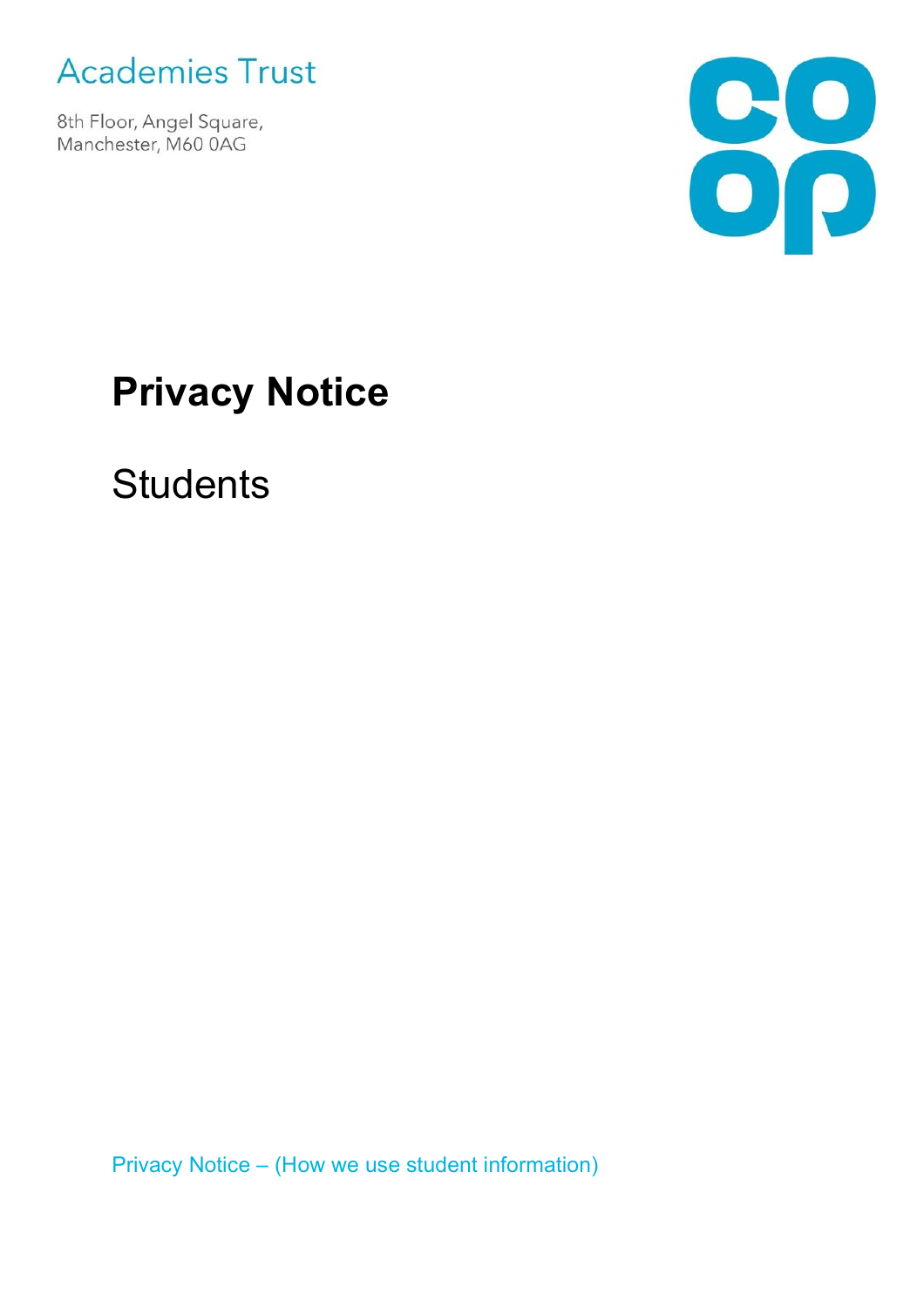

8th Floor, Angel Square, Manchester, M60 0AG



# **Privacy Notice**

**Students** 

Privacy Notice – (How we use student information)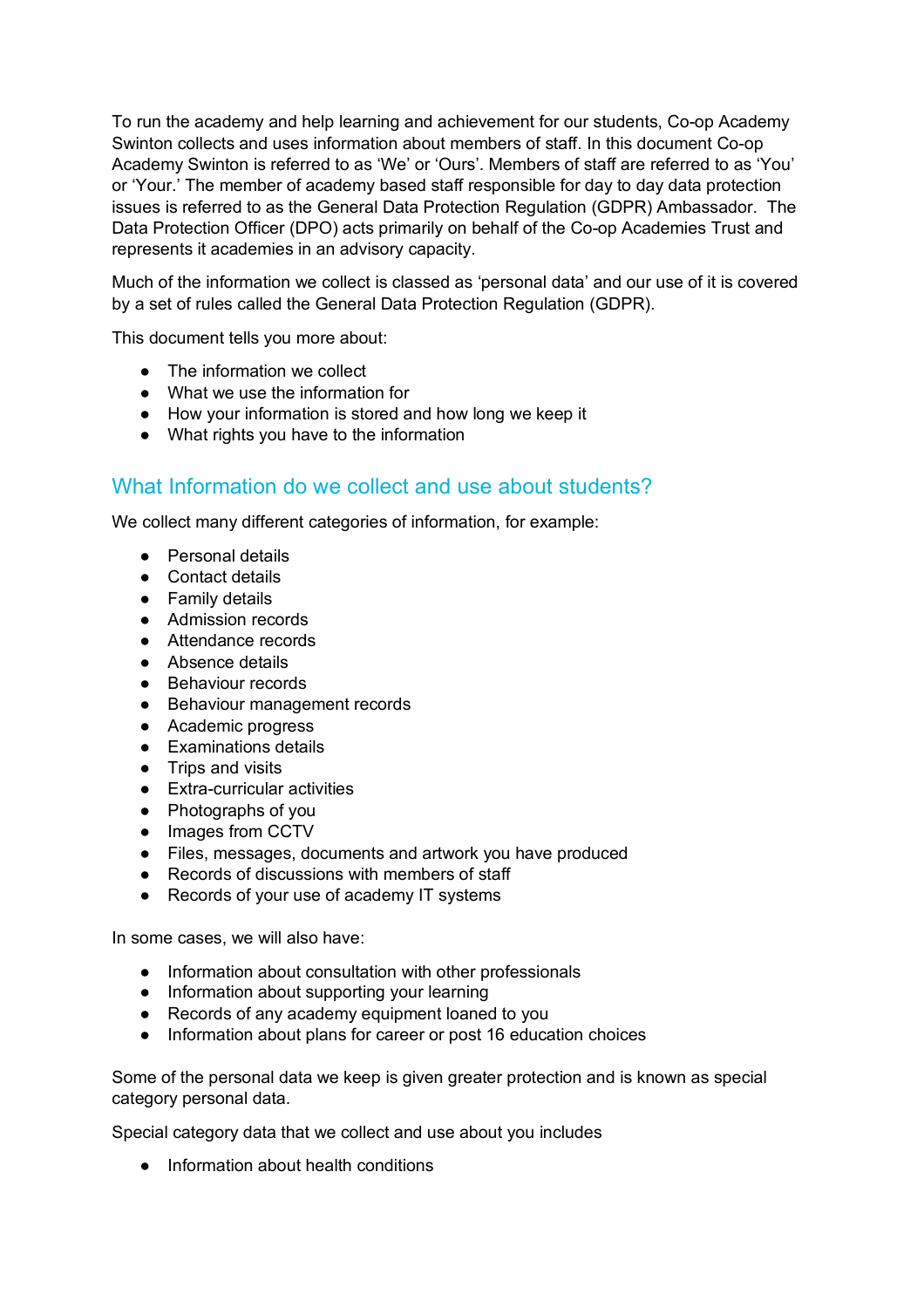To run the academy and help learning and achievement for our students, Co-op Academy Swinton collects and uses information about members of staff. In this document Co-op Academy Swinton is referred to as 'We' or 'Ours'. Members of staff are referred to as 'You' or 'Your.' The member of academy based staff responsible for day to day data protection issues is referred to as the General Data Protection Regulation (GDPR) Ambassador. The Data Protection Officer (DPO) acts primarily on behalf of the Co-op Academies Trust and represents it academies in an advisory capacity.

Much of the information we collect is classed as 'personal data' and our use of it is covered by a set of rules called the General Data Protection Regulation (GDPR).

This document tells you more about:

- The information we collect
- What we use the information for
- How your information is stored and how long we keep it
- What rights you have to the information

#### What Information do we collect and use about students?

We collect many different categories of information, for example:

- Personal details
- Contact details
- Family details
- Admission records
- Attendance records
- Absence details
- Behaviour records
- Behaviour management records
- Academic progress
- Examinations details
- Trips and visits
- Extra-curricular activities
- Photographs of you
- Images from CCTV
- Files, messages, documents and artwork you have produced
- Records of discussions with members of staff
- Records of your use of academy IT systems

In some cases, we will also have:

- Information about consultation with other professionals
- Information about supporting your learning
- Records of any academy equipment loaned to you
- Information about plans for career or post 16 education choices

Some of the personal data we keep is given greater protection and is known as special category personal data.

Special category data that we collect and use about you includes

● Information about health conditions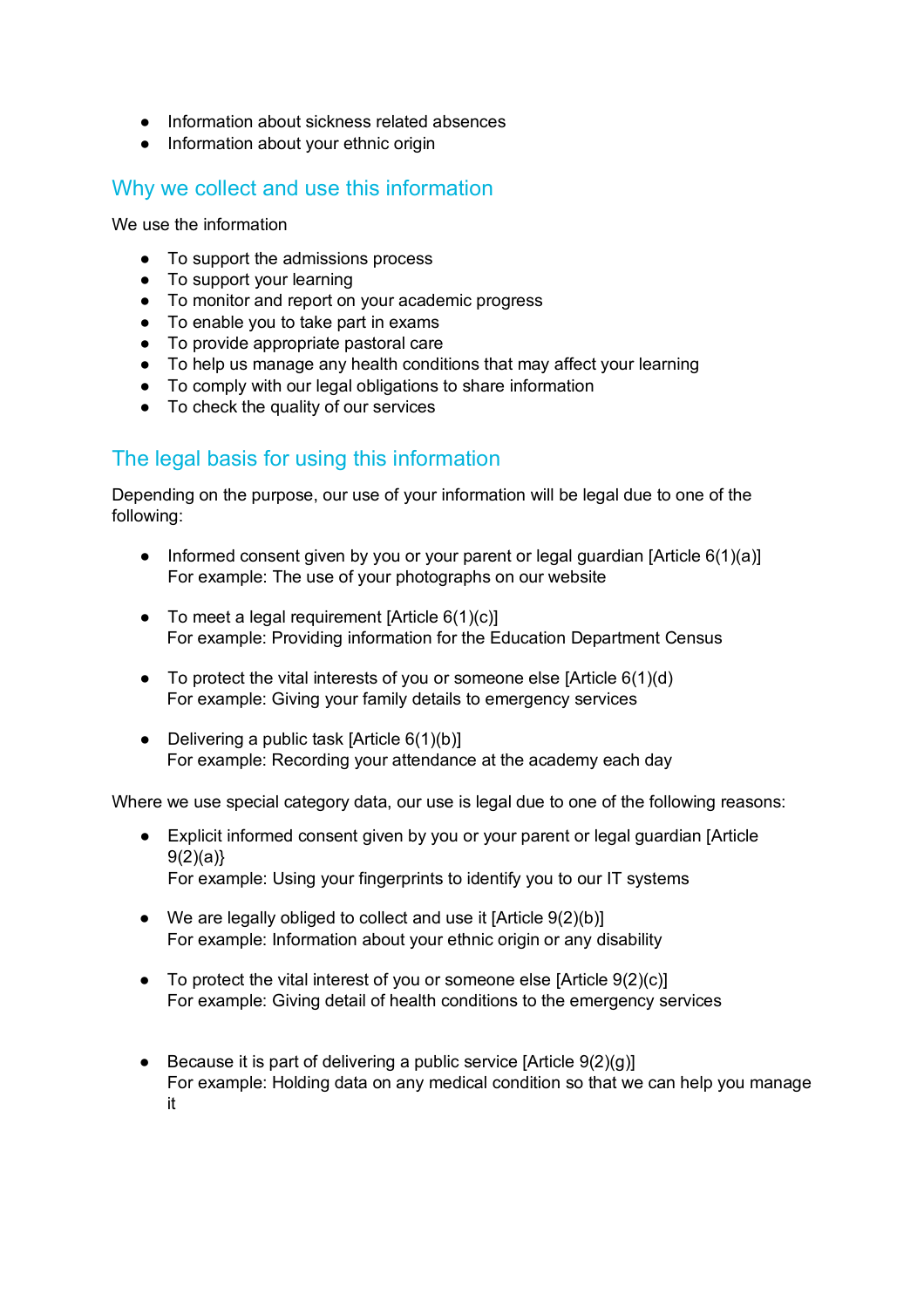- Information about sickness related absences
- Information about your ethnic origin

## Why we collect and use this information

We use the information

- To support the admissions process
- To support your learning
- To monitor and report on your academic progress
- To enable you to take part in exams
- To provide appropriate pastoral care
- To help us manage any health conditions that may affect your learning
- To comply with our legal obligations to share information
- To check the quality of our services

## The legal basis for using this information

Depending on the purpose, our use of your information will be legal due to one of the following:

- Informed consent given by you or your parent or legal guardian [Article 6(1)(a)] For example: The use of your photographs on our website
- To meet a legal requirement  $[Article 6(1)(c)]$ For example: Providing information for the Education Department Census
- $\bullet$  To protect the vital interests of you or someone else [Article 6(1)(d) For example: Giving your family details to emergency services
- Delivering a public task  $[Article 6(1)(b)]$ For example: Recording your attendance at the academy each day

Where we use special category data, our use is legal due to one of the following reasons:

- Explicit informed consent given by you or your parent or legal guardian [Article  $9(2)(a)$ For example: Using your fingerprints to identify you to our IT systems
- We are legally obliged to collect and use it  $[Article 9(2)(b)]$ For example: Information about your ethnic origin or any disability
- $\bullet$  To protect the vital interest of you or someone else [Article 9(2)(c)] For example: Giving detail of health conditions to the emergency services
- $\bullet$  Because it is part of delivering a public service [Article 9(2)(g)] For example: Holding data on any medical condition so that we can help you manage it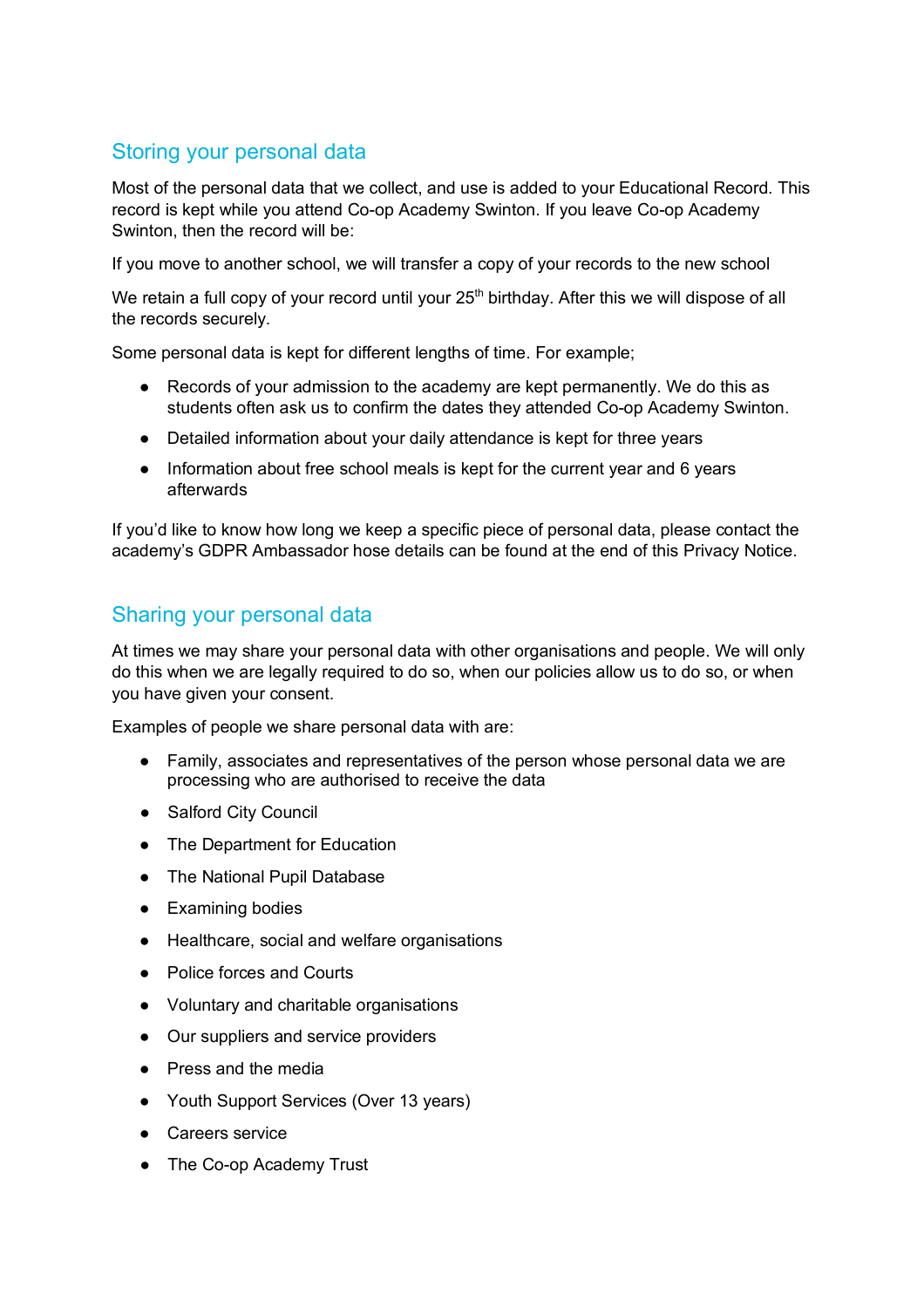# Storing your personal data

Most of the personal data that we collect, and use is added to your Educational Record. This record is kept while you attend Co-op Academy Swinton. If you leave Co-op Academy Swinton, then the record will be:

If you move to another school, we will transfer a copy of your records to the new school

We retain a full copy of your record until your  $25<sup>th</sup>$  birthday. After this we will dispose of all the records securely.

Some personal data is kept for different lengths of time. For example;

- Records of your admission to the academy are kept permanently. We do this as students often ask us to confirm the dates they attended Co-op Academy Swinton.
- Detailed information about your daily attendance is kept for three years
- Information about free school meals is kept for the current year and 6 years afterwards

If you'd like to know how long we keep a specific piece of personal data, please contact the academy's GDPR Ambassador hose details can be found at the end of this Privacy Notice.

## Sharing your personal data

At times we may share your personal data with other organisations and people. We will only do this when we are legally required to do so, when our policies allow us to do so, or when you have given your consent.

Examples of people we share personal data with are:

- Family, associates and representatives of the person whose personal data we are processing who are authorised to receive the data
- Salford City Council
- The Department for Education
- The National Pupil Database
- Examining bodies
- Healthcare, social and welfare organisations
- Police forces and Courts
- Voluntary and charitable organisations
- Our suppliers and service providers
- Press and the media
- Youth Support Services (Over 13 years)
- Careers service
- The Co-op Academy Trust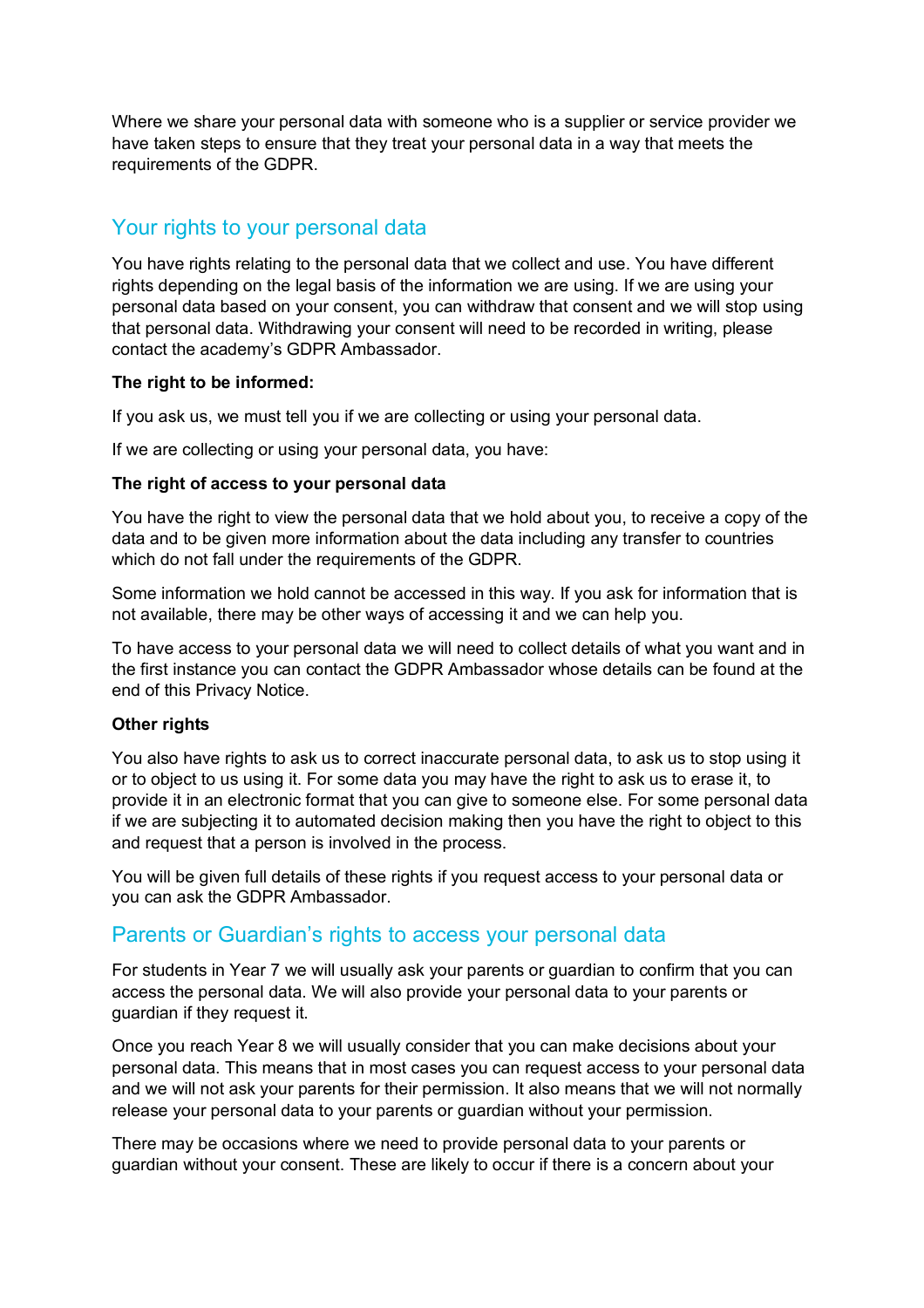Where we share your personal data with someone who is a supplier or service provider we have taken steps to ensure that they treat your personal data in a way that meets the requirements of the GDPR.

## Your rights to your personal data

You have rights relating to the personal data that we collect and use. You have different rights depending on the legal basis of the information we are using. If we are using your personal data based on your consent, you can withdraw that consent and we will stop using that personal data. Withdrawing your consent will need to be recorded in writing, please contact the academy's GDPR Ambassador.

#### **The right to be informed:**

If you ask us, we must tell you if we are collecting or using your personal data.

If we are collecting or using your personal data, you have:

#### **The right of access to your personal data**

You have the right to view the personal data that we hold about you, to receive a copy of the data and to be given more information about the data including any transfer to countries which do not fall under the requirements of the GDPR.

Some information we hold cannot be accessed in this way. If you ask for information that is not available, there may be other ways of accessing it and we can help you.

To have access to your personal data we will need to collect details of what you want and in the first instance you can contact the GDPR Ambassador whose details can be found at the end of this Privacy Notice.

#### **Other rights**

You also have rights to ask us to correct inaccurate personal data, to ask us to stop using it or to object to us using it. For some data you may have the right to ask us to erase it, to provide it in an electronic format that you can give to someone else. For some personal data if we are subjecting it to automated decision making then you have the right to object to this and request that a person is involved in the process.

You will be given full details of these rights if you request access to your personal data or you can ask the GDPR Ambassador.

### Parents or Guardian's rights to access your personal data

For students in Year 7 we will usually ask your parents or guardian to confirm that you can access the personal data. We will also provide your personal data to your parents or guardian if they request it.

Once you reach Year 8 we will usually consider that you can make decisions about your personal data. This means that in most cases you can request access to your personal data and we will not ask your parents for their permission. It also means that we will not normally release your personal data to your parents or guardian without your permission.

There may be occasions where we need to provide personal data to your parents or guardian without your consent. These are likely to occur if there is a concern about your